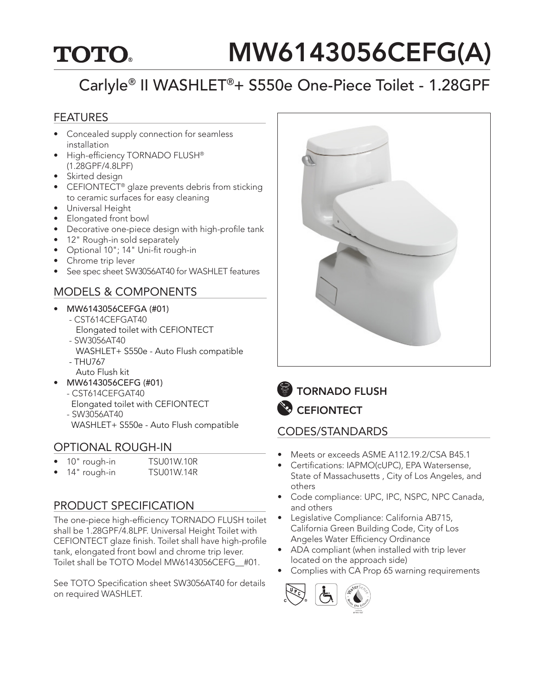## **TOTO**

# MW6143056CEFG(A)

## Carlyle® II WASHLET®+ S550e One-Piece Toilet - 1.28GPF

#### FEATURES

- Concealed supply connection for seamless installation
- High-efficiency TORNADO FLUSH® (1.28GPF/4.8LPF)
- Skirted design
- CEFIONTECT<sup>®</sup> glaze prevents debris from sticking to ceramic surfaces for easy cleaning
- Universal Height
- Elongated front bowl
- Decorative one-piece design with high-profile tank
- 12" Rough-in sold separately
- Optional 10"; 14" Uni-fit rough-in
- Chrome trip lever
- See spec sheet SW3056AT40 for WASHLET features

#### MODELS & COMPONENTS

- MW6143056CEFGA (#01)
	- CST614CEFGAT40 Elongated toilet with CEFIONTECT
	- SW3056AT40 WASHLET+ S550e - Auto Flush compatible
	- THU767
	- Auto Flush kit
- MW6143056CEFG (#01)
	- CST614CEFGAT40
	- Elongated toilet with CEFIONTECT - SW3056AT40
	- WASHLET+ S550e Auto Flush compatible

#### OPTIONAL ROUGH-IN

- 10" rough-in TSU01W.10R
- 14" rough-in TSU01W.14R

#### PRODUCT SPECIFICATION

The one-piece high-efficiency TORNADO FLUSH toilet shall be 1.28GPF/4.8LPF. Universal Height Toilet with CEFIONTECT glaze finish. Toilet shall have high-profile tank, elongated front bowl and chrome trip lever. Toilet shall be TOTO Model MW6143056CEFG\_\_#01.

See TOTO Specification sheet SW3056AT40 for details on required WASHLET.



**TORNADO FLUSH CEFIONTECT** 

#### CODES/STANDARDS

- Meets or exceeds ASME A112.19.2/CSA B45.1
- Certifications: IAPMO(cUPC), EPA Watersense, State of Massachusetts , City of Los Angeles, and others
- Code compliance: UPC, IPC, NSPC, NPC Canada, and others
- Legislative Compliance: California AB715, California Green Building Code, City of Los Angeles Water Efficiency Ordinance
- • ADA compliant (when installed with trip lever located on the approach side)
- Complies with CA Prop 65 warning requirements